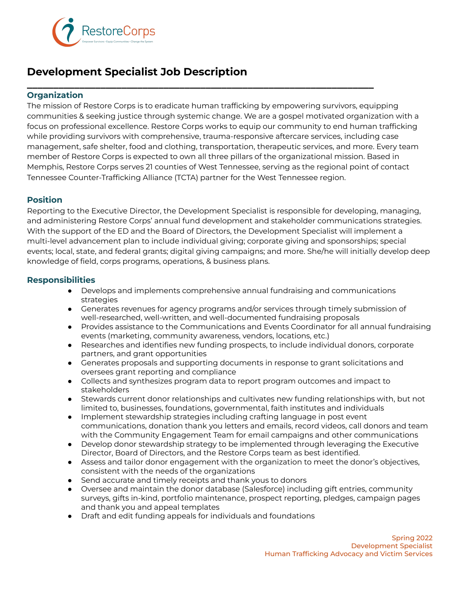

# **Development Specialist Job Description**

## **\_\_\_\_\_\_\_\_\_\_\_\_\_\_\_\_\_\_\_\_\_\_\_\_\_\_\_\_\_\_\_\_\_\_\_\_\_\_\_\_\_\_\_\_\_\_\_\_\_\_\_\_\_\_\_\_\_\_\_\_\_\_\_\_\_\_ Organization**

The mission of Restore Corps is to eradicate human trafficking by empowering survivors, equipping communities & seeking justice through systemic change. We are a gospel motivated organization with a focus on professional excellence. Restore Corps works to equip our community to end human trafficking while providing survivors with comprehensive, trauma-responsive aftercare services, including case management, safe shelter, food and clothing, transportation, therapeutic services, and more. Every team member of Restore Corps is expected to own all three pillars of the organizational mission. Based in Memphis, Restore Corps serves 21 counties of West Tennessee, serving as the regional point of contact Tennessee Counter-Trafficking Alliance (TCTA) partner for the West Tennessee region.

## **Position**

Reporting to the Executive Director, the Development Specialist is responsible for developing, managing, and administering Restore Corps' annual fund development and stakeholder communications strategies. With the support of the ED and the Board of Directors, the Development Specialist will implement a multi-level advancement plan to include individual giving; corporate giving and sponsorships; special events; local, state, and federal grants; digital giving campaigns; and more. She/he will initially develop deep knowledge of field, corps programs, operations, & business plans.

### **Responsibilities**

- Develops and implements comprehensive annual fundraising and communications strategies
- Generates revenues for agency programs and/or services through timely submission of well-researched, well-written, and well-documented fundraising proposals
- Provides assistance to the Communications and Events Coordinator for all annual fundraising events (marketing, community awareness, vendors, locations, etc.)
- Researches and identifies new funding prospects, to include individual donors, corporate partners, and grant opportunities
- Generates proposals and supporting documents in response to grant solicitations and oversees grant reporting and compliance
- Collects and synthesizes program data to report program outcomes and impact to stakeholders
- Stewards current donor relationships and cultivates new funding relationships with, but not limited to, businesses, foundations, governmental, faith institutes and individuals
- Implement stewardship strategies including crafting language in post event communications, donation thank you letters and emails, record videos, call donors and team with the Community Engagement Team for email campaigns and other communications
- Develop donor stewardship strategy to be implemented through leveraging the Executive Director, Board of Directors, and the Restore Corps team as best identified.
- Assess and tailor donor engagement with the organization to meet the donor's objectives, consistent with the needs of the organizations
- Send accurate and timely receipts and thank yous to donors
- Oversee and maintain the donor database (Salesforce) including gift entries, community surveys, gifts in-kind, portfolio maintenance, prospect reporting, pledges, campaign pages and thank you and appeal templates
- Draft and edit funding appeals for individuals and foundations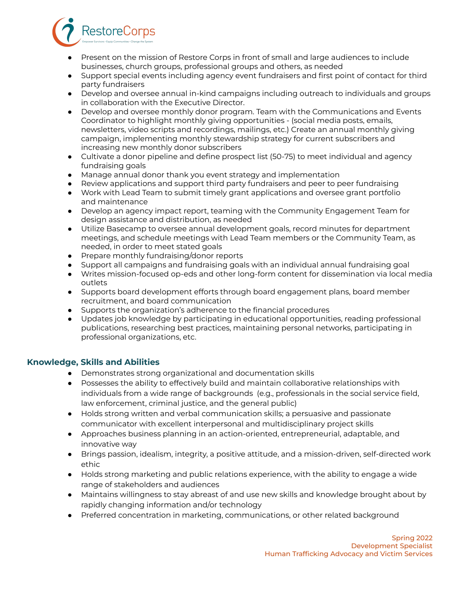- Present on the mission of Restore Corps in front of small and large audiences to include businesses, church groups, professional groups and others, as needed
- Support special events including agency event fundraisers and first point of contact for third party fundraisers
- Develop and oversee annual in-kind campaigns including outreach to individuals and groups in collaboration with the Executive Director.
- Develop and oversee monthly donor program. Team with the Communications and Events Coordinator to highlight monthly giving opportunities - (social media posts, emails, newsletters, video scripts and recordings, mailings, etc.) Create an annual monthly giving campaign, implementing monthly stewardship strategy for current subscribers and increasing new monthly donor subscribers
- Cultivate a donor pipeline and define prospect list (50-75) to meet individual and agency fundraising goals
- Manage annual donor thank you event strategy and implementation
- Review applications and support third party fundraisers and peer to peer fundraising
- Work with Lead Team to submit timely grant applications and oversee grant portfolio and maintenance
- Develop an agency impact report, teaming with the Community Engagement Team for design assistance and distribution, as needed
- Utilize Basecamp to oversee annual development goals, record minutes for department meetings, and schedule meetings with Lead Team members or the Community Team, as needed, in order to meet stated goals
- Prepare monthly fundraising/donor reports

**RestoreCorps** 

- Support all campaigns and fundraising goals with an individual annual fundraising goal
- Writes mission-focused op-eds and other long-form content for dissemination via local media outlets
- Supports board development efforts through board engagement plans, board member recruitment, and board communication
- Supports the organization's adherence to the financial procedures
- Updates job knowledge by participating in educational opportunities, reading professional publications, researching best practices, maintaining personal networks, participating in professional organizations, etc.

### **Knowledge, Skills and Abilities**

- Demonstrates strong organizational and documentation skills
- Possesses the ability to effectively build and maintain collaborative relationships with individuals from a wide range of backgrounds (e.g., professionals in the social service field, law enforcement, criminal justice, and the general public)
- Holds strong written and verbal communication skills; a persuasive and passionate communicator with excellent interpersonal and multidisciplinary project skills
- Approaches business planning in an action-oriented, entrepreneurial, adaptable, and innovative way
- Brings passion, idealism, integrity, a positive attitude, and a mission-driven, self-directed work ethic
- Holds strong marketing and public relations experience, with the ability to engage a wide range of stakeholders and audiences
- Maintains willingness to stay abreast of and use new skills and knowledge brought about by rapidly changing information and/or technology
- Preferred concentration in marketing, communications, or other related background